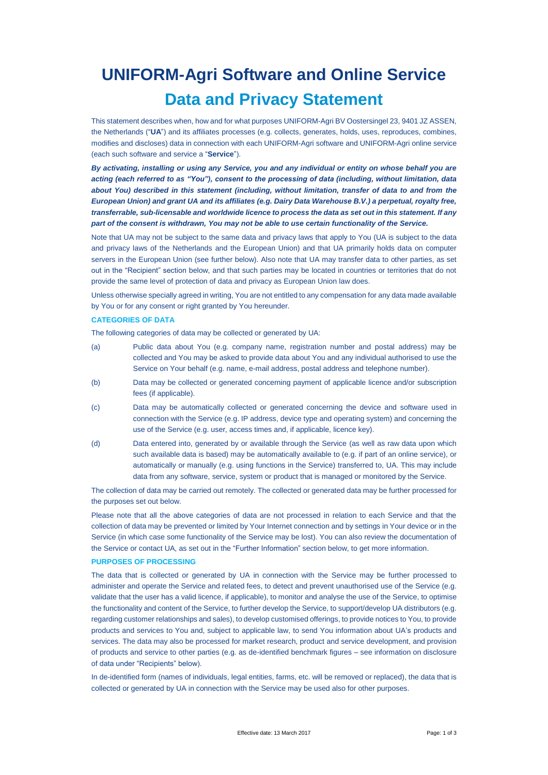# **UNIFORM-Agri Software and Online Service Data and Privacy Statement**

This statement describes when, how and for what purposes UNIFORM-Agri BV Oostersingel 23, 9401 JZ ASSEN, the Netherlands ("**UA**") and its affiliates processes (e.g. collects, generates, holds, uses, reproduces, combines, modifies and discloses) data in connection with each UNIFORM-Agri software and UNIFORM-Agri online service (each such software and service a "**Service**").

*By activating, installing or using any Service, you and any individual or entity on whose behalf you are acting (each referred to as "You"), consent to the processing of data (including, without limitation, data about You) described in this statement (including, without limitation, transfer of data to and from the European Union) and grant UA and its affiliates (e.g. Dairy Data Warehouse B.V.) a perpetual, royalty free, transferrable, sub-licensable and worldwide licence to process the data as set out in this statement. If any part of the consent is withdrawn, You may not be able to use certain functionality of the Service.*

Note that UA may not be subject to the same data and privacy laws that apply to You (UA is subject to the data and privacy laws of the Netherlands and the European Union) and that UA primarily holds data on computer servers in the European Union (see further below). Also note that UA may transfer data to other parties, as set out in the "Recipient" section below, and that such parties may be located in countries or territories that do not provide the same level of protection of data and privacy as European Union law does.

Unless otherwise specially agreed in writing, You are not entitled to any compensation for any data made available by You or for any consent or right granted by You hereunder.

## **CATEGORIES OF DATA**

The following categories of data may be collected or generated by UA:

- (a) Public data about You (e.g. company name, registration number and postal address) may be collected and You may be asked to provide data about You and any individual authorised to use the Service on Your behalf (e.g. name, e-mail address, postal address and telephone number).
- (b) Data may be collected or generated concerning payment of applicable licence and/or subscription fees (if applicable).
- (c) Data may be automatically collected or generated concerning the device and software used in connection with the Service (e.g. IP address, device type and operating system) and concerning the use of the Service (e.g. user, access times and, if applicable, licence key).
- (d) Data entered into, generated by or available through the Service (as well as raw data upon which such available data is based) may be automatically available to (e.g. if part of an online service), or automatically or manually (e.g. using functions in the Service) transferred to, UA. This may include data from any software, service, system or product that is managed or monitored by the Service.

The collection of data may be carried out remotely. The collected or generated data may be further processed for the purposes set out below.

Please note that all the above categories of data are not processed in relation to each Service and that the collection of data may be prevented or limited by Your Internet connection and by settings in Your device or in the Service (in which case some functionality of the Service may be lost). You can also review the documentation of the Service or contact UA, as set out in the "Further Information" section below, to get more information.

## **PURPOSES OF PROCESSING**

The data that is collected or generated by UA in connection with the Service may be further processed to administer and operate the Service and related fees, to detect and prevent unauthorised use of the Service (e.g. validate that the user has a valid licence, if applicable), to monitor and analyse the use of the Service, to optimise the functionality and content of the Service, to further develop the Service, to support/develop UA distributors (e.g. regarding customer relationships and sales), to develop customised offerings, to provide notices to You, to provide products and services to You and, subject to applicable law, to send You information about UA's products and services. The data may also be processed for market research, product and service development, and provision of products and service to other parties (e.g. as de-identified benchmark figures – see information on disclosure of data under "Recipients" below).

In de-identified form (names of individuals, legal entities, farms, etc. will be removed or replaced), the data that is collected or generated by UA in connection with the Service may be used also for other purposes.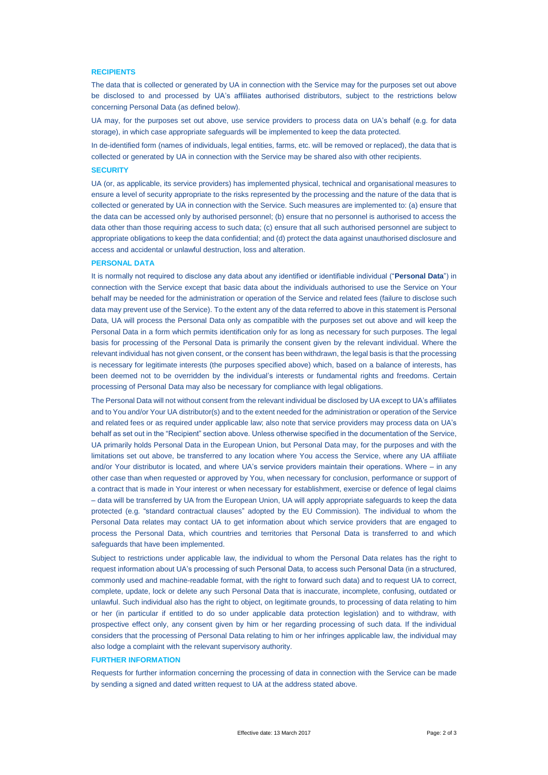#### **RECIPIENTS**

The data that is collected or generated by UA in connection with the Service may for the purposes set out above be disclosed to and processed by UA's affiliates authorised distributors, subject to the restrictions below concerning Personal Data (as defined below).

UA may, for the purposes set out above, use service providers to process data on UA's behalf (e.g. for data storage), in which case appropriate safeguards will be implemented to keep the data protected.

In de-identified form (names of individuals, legal entities, farms, etc. will be removed or replaced), the data that is collected or generated by UA in connection with the Service may be shared also with other recipients.

#### **SECURITY**

UA (or, as applicable, its service providers) has implemented physical, technical and organisational measures to ensure a level of security appropriate to the risks represented by the processing and the nature of the data that is collected or generated by UA in connection with the Service. Such measures are implemented to: (a) ensure that the data can be accessed only by authorised personnel; (b) ensure that no personnel is authorised to access the data other than those requiring access to such data; (c) ensure that all such authorised personnel are subject to appropriate obligations to keep the data confidential; and (d) protect the data against unauthorised disclosure and access and accidental or unlawful destruction, loss and alteration.

#### **PERSONAL DATA**

It is normally not required to disclose any data about any identified or identifiable individual ("**Personal Data**") in connection with the Service except that basic data about the individuals authorised to use the Service on Your behalf may be needed for the administration or operation of the Service and related fees (failure to disclose such data may prevent use of the Service). To the extent any of the data referred to above in this statement is Personal Data, UA will process the Personal Data only as compatible with the purposes set out above and will keep the Personal Data in a form which permits identification only for as long as necessary for such purposes. The legal basis for processing of the Personal Data is primarily the consent given by the relevant individual. Where the relevant individual has not given consent, or the consent has been withdrawn, the legal basis is that the processing is necessary for legitimate interests (the purposes specified above) which, based on a balance of interests, has been deemed not to be overridden by the individual's interests or fundamental rights and freedoms. Certain processing of Personal Data may also be necessary for compliance with legal obligations.

The Personal Data will not without consent from the relevant individual be disclosed by UA except to UA's affiliates and to You and/or Your UA distributor(s) and to the extent needed for the administration or operation of the Service and related fees or as required under applicable law; also note that service providers may process data on UA's behalf as set out in the "Recipient" section above. Unless otherwise specified in the documentation of the Service, UA primarily holds Personal Data in the European Union, but Personal Data may, for the purposes and with the limitations set out above, be transferred to any location where You access the Service, where any UA affiliate and/or Your distributor is located, and where UA's service providers maintain their operations. Where – in any other case than when requested or approved by You, when necessary for conclusion, performance or support of a contract that is made in Your interest or when necessary for establishment, exercise or defence of legal claims – data will be transferred by UA from the European Union, UA will apply appropriate safeguards to keep the data protected (e.g. "standard contractual clauses" adopted by the EU Commission). The individual to whom the Personal Data relates may contact UA to get information about which service providers that are engaged to process the Personal Data, which countries and territories that Personal Data is transferred to and which safeguards that have been implemented.

Subject to restrictions under applicable law, the individual to whom the Personal Data relates has the right to request information about UA's processing of such Personal Data, to access such Personal Data (in a structured, commonly used and machine-readable format, with the right to forward such data) and to request UA to correct, complete, update, lock or delete any such Personal Data that is inaccurate, incomplete, confusing, outdated or unlawful. Such individual also has the right to object, on legitimate grounds, to processing of data relating to him or her (in particular if entitled to do so under applicable data protection legislation) and to withdraw, with prospective effect only, any consent given by him or her regarding processing of such data. If the individual considers that the processing of Personal Data relating to him or her infringes applicable law, the individual may also lodge a complaint with the relevant supervisory authority.

### **FURTHER INFORMATION**

Requests for further information concerning the processing of data in connection with the Service can be made by sending a signed and dated written request to UA at the address stated above.